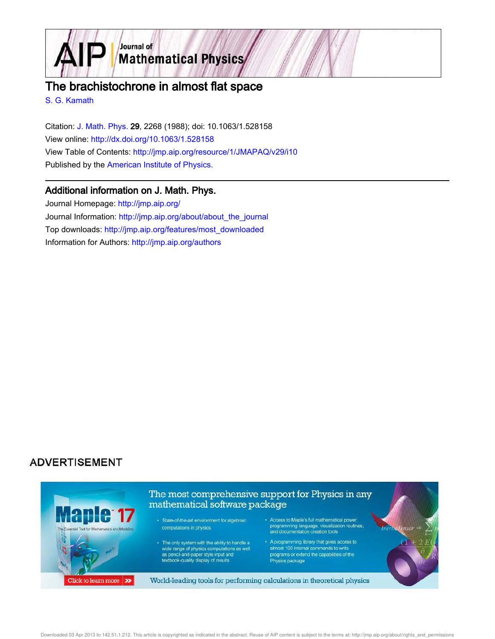

# The brachistochrone in almost flat space

S. G. Kamath

Citation: J. Math. Phys. 29, 2268 (1988); doi: 10.1063/1.528158 View online: http://dx.doi.org/10.1063/1.528158 View Table of Contents: http://jmp.aip.org/resource/1/JMAPAQ/v29/i10 Published by the American Institute of Physics.

### Additional information on J. Math. Phys.

Journal Homepage: http://jmp.aip.org/ Journal Information: http://jmp.aip.org/about/about\_the\_journal Top downloads: http://jmp.aip.org/features/most\_downloaded Information for Authors: http://jmp.aip.org/authors

## **ADVERTISEMENT**

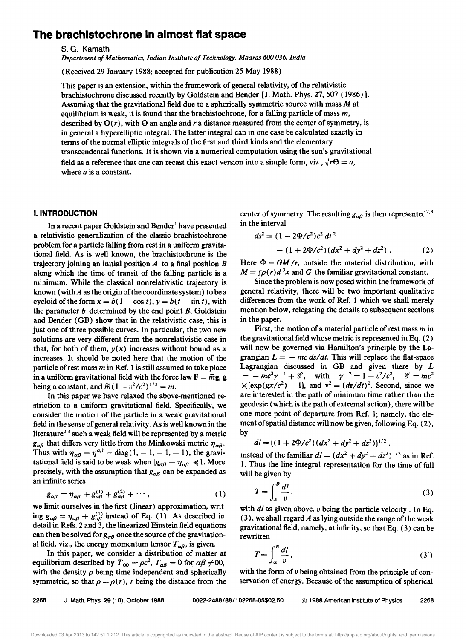### **The brachistochrone in almost flat space**

s. G. Kamath

*Department 0/ Mathematics, Indian Institute o/Technology, Madras 600 036, India* 

(Received 29 January 1988; accepted for publication 25 May 1988)

This paper is an extension, within the framework of general relativity, of the relativistic brachistochrone discussed recently by Goldstein and Bender [J. Math. Phys. 27, 507 (1986)]. Assuming that the gravitational field due to a spherically symmetric source with mass *Mat*  equilibrium is weak, it is found that the brachistochrone, for a falling particle of mass *m,*  described by  $\Theta(r)$ , with  $\Theta$  an angle and r a distance measured from the center of symmetry, is in general a hyperelliptic integral. The latter integral can in one case be calculated exactly in terms of the normal elliptic integrals of the first and third kinds and the elementary transcendental functions. It is shown via a numerical computation using the sun's gravitational field as a reference that one can recast this exact version into a simple form, viz.,  $\sqrt{r\Theta} = a$ , where *a* is a constant.

#### **I. INTRODUCTION**

In a recent paper Goldstein and Bender<sup>1</sup> have presented a relativistic generalization of the classic brachistochrone problem for a particle faIling from rest in a uniform gravitational field. As is well known, the brachistochrone is the trajectory joining an initial position *A* to a final position *B*  along which the time of transit of the falling particle is a minimum. While the classical nonrelativistic trajectory is known (with  $A$  as the origin of the coordinate system) to be a cycloid of the form  $x = b(1 - \cos t)$ ,  $y = b(t - \sin t)$ , with the parameter *b* determined by the end point *B,* Goldstein and Bender (GB) show that in the relativistic case, this is just one of three possible curves. In particular, the two new solutions are very different from the nonrelativistic case in that, for both of them,  $y(x)$  increases without bound as x increases. It should be noted here that the motion of the particle of rest mass *m* in Ref. 1 is still assumed to take place in a uniform gravitational field with the force law  $\mathbf{F} = \tilde{m}\mathbf{g}$ , g being a constant, and  $\tilde{m} (1 - v^2/c^2)^{1/2} = m$ .

In this paper we have relaxed the above-mentioned restriction to a uniform gravitational field. Specifically, we consider the motion of the particle in a weak gravitational field in the sense of general relativity. As is well known in the literature<sup>2,3</sup> such a weak field will be represented by a metric  $g_{\alpha\beta}$  that differs very little from the Minkowski metric  $\eta_{\alpha\beta}$ . Thus with  $\eta_{\alpha\beta} = \eta^{\alpha\beta} = \text{diag}(1, -1, -1, -1)$ , the gravitational field is said to be weak when  $|g_{\alpha\beta} - \eta_{\alpha\beta}| \le 1$ . More precisely, with the assumption that  $g_{\alpha\beta}$  can be expanded as an infinite series

$$
g_{\alpha\beta} = \eta_{\alpha\beta} + g_{\alpha\beta}^{(1)} + g_{\alpha\beta}^{(2)} + \cdots, \qquad (1)
$$

we limit ourselves in the first (linear) approximation, writing  $g_{\alpha\beta} = \eta_{\alpha\beta} + g_{\alpha\beta}^{(1)}$  instead of Eq. (1). As described in detail in Refs. 2 and 3, the linearized Einstein field equations can then be solved for  $g_{\alpha\beta}$  once the source of the gravitational field, viz., the energy momentum tensor  $T_{\alpha\beta}$ , is given.

In this paper, we consider a distribution of matter at equilibrium described by  $T_{00} = \rho c^2$ ,  $T_{\alpha\beta} = 0$  for  $\alpha\beta \neq 00$ , with the density  $\rho$  being time independent and spherically symmetric, so that  $\rho = \rho(r)$ , r being the distance from the

center of symmetry. The resulting  $g_{\alpha\beta}$  is then represented<sup>2,3</sup> in the interval

$$
ds2 = (1 - 2\Phi/c2)c2 dt2
$$
  
-(1 + 2\Phi/c<sup>2</sup>)(dx<sup>2</sup> + dy<sup>2</sup> + dz<sup>2</sup>) . (2)

Here  $\Phi = GM/r$ , outside the material distribution, with  $M = \int \rho(r) d^3x$  and *G* the familiar gravitational constant.

Since the problem is now posed within the framework of general relativity, there will be two important qualitative differences from the work of Ref. 1 which we shall merely mention below, relegating the details to subsequent sections in the paper.

First, the motion of a material particle of rest mass *m* in the gravitational field whose metric is represented in Eq. (2) will now be governed via Hamilton's principle by the Lagrangian  $L = -mc \, ds/dt$ . This will replace the flat-space Lagrangian discussed in GB and given there by *L*   $= -mc^2\gamma^{-1} + \mathcal{E}$ , with  $\gamma^{-2} = 1 - v^2/c^2$ ,  $\mathcal{E} = mc^2$  $\times$ (exp(gx/c<sup>2</sup>) – 1), and  $v^2 = (dr/dt)^2$ . Second, since we are interested in the path of minimum time rather than the geodesic (which is the path of extremal action), there will be one more point of departure from Ref. 1; namely, the element of spatial distance will now be given, following Eq. (2), by

$$
dl = ((1 + 2\Phi/c^2)(dx^2 + dy^2 + dz^2))^{1/2},
$$

instead of the familiar  $dl = (dx^2 + dy^2 + dz^2)^{1/2}$  as in Ref. 1. Thus the line integral representation for the time of fall will be given by

$$
T = \int_{A}^{B} \frac{dl}{v},
$$
 (3)

with *dl* as given above, *v* being the particle velocity. In Eq. (3), we shall regard *A* as lying outside the range of the weak gravitational field, namely, at infinity, so that Eq. (3) can be rewritten

$$
T = \int_{\infty}^{B} \frac{dl}{v},\tag{3'}
$$

with the form of *v* being obtained from the principle of conservation of energy. Because of the assumption of spherical

2268 J. Math. Phys. 29 (10), October 1988 0022-2488/88/102268-05\$02.50 © 1988 American Institute of Physics 2268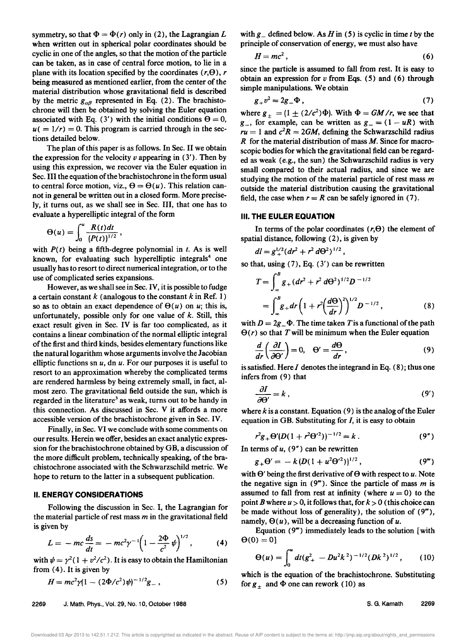symmetry, so that  $\Phi = \Phi(r)$  only in (2), the Lagrangian L when written out in spherical polar coordinates should be cyclic in one of the angles, so that the motion of the particle can be taken, as in case of central force motion, to lie in a plane with its location specified by the coordinates  $(r,\Theta)$ ,  $r$ being measured as mentioned earlier, from the center of the material distribution whose gravitational field is described by the metric  $g_{\alpha\beta}$  represented in Eq. (2). The brachistochrone will then be obtained by solving the Euler equation associated with Eq. (3') with the initial conditions  $\Theta = 0$ ,  $u( = 1/r) = 0$ . This program is carried through in the sections detailed below.

The plan of this paper is as follows. In Sec. II we obtain the expression for the velocity *v* appearing in (3'). Then by using this expression, we recover via the Euler equation in Sec. III the equation of the brachistochrone in the form usual to central force motion, viz.,  $\Theta = \Theta(u)$ . This relation cannot in general be written out in a closed form. More precisely, it turns out, as we shall see in Sec. III, that one has to evaluate a hyperelliptic integral of the form

$$
\Theta(u)=\int_0^u\frac{R(t)dt}{\left(P(t)\right)^{1/2}},
$$

with  $P(t)$  being a fifth-degree polynomial in  $t$ . As is well known, for evaluating such hyperelliptic integrals<sup>4</sup> one usually has to resort to direct numerical integration, or to the use of complicated series expansions.

However, as we shall see in Sec. IV, it is possible to fudge a certain constant *k* (analogous to the constant *k* in Ref. 1) so as to obtain an exact dependence of  $\Theta(u)$  on *u*; this is, unfortunately, possible only for one value of *k.* Still, this exact result given in Sec. IV is far too complicated, as it contains a linear combination of the normal elliptic integral of the first and third kinds, besides elementary functions like the natural logarithm whose arguments involve the Jacobian elliptic functions sn *u,* dn *u.* For our purposes it is useful to resort to an approximation whereby the complicated terms are rendered harmless by being extremely small, in fact, almost zero. The gravitational field outside the sun, which is regarded in the literature<sup>3</sup> as weak, turns out to be handy in this connection. As discussed in Sec. V it affords a more accessible version of the brachistochrone given in Sec. IV.

Finally, in Sec. VI we conclude with some comments on our results. Herein we offer, besides an exact analytic expression for the brachistochrone obtained by GB, a discussion of the more difficult problem, technically speaking, of the brachistochrone associated with the Schwarzschild metric. We hope to return to the latter in a subsequent publication.

#### II. **ENERGY CONSIDERATIONS**

Following the discussion in Sec. I, the Lagrangian for the material particle of rest mass *m* in the gravitational field is given by

$$
L = -mc\frac{ds}{dt} = -mc^2\gamma^{-1}\left(1 - \frac{2\Phi}{c^2}\psi\right)^{1/2},
$$
 (4)

with  $\psi = \gamma^2 (1 + v^2/c^2)$ . It is easy to obtain the Hamiltonian from (4). It is given by

$$
H = mc^2 \gamma (1 - (2\Phi/c^2)\psi)^{-1/2} g_-, \qquad (5)
$$

with  $g_{-}$  defined below. As *H* in (5) is cyclic in time *t* by the principle of conservation of energy, we must also have

$$
H=mc^2\,,\tag{6}
$$

since the particle is assumed to fall from rest. It is easy to obtain an expression for *v* from Eqs. (5) and (6) through simple manipulations. We obtain

$$
g_{+}v^{2}=2g_{-}\Phi , \qquad (7)
$$

where  $g_{\pm} = (1 \pm (2/c^2) \Phi)$ . With  $\Phi = GM/r$ , we see that  $g_{-}$ , for example, can be written as  $g_{-} = (1 - uR)$  with  $ru = 1$  and  $c^2R = 2GM$ , defining the Schwarzschild radius *R* for the material distribution of mass *M.* Since for macroscopic bodies for which the gravitational field can be regarded as weak (e.g., the sun) the Schwarzschild radius is very small compared to their actual radius, and since we are studying the motion of the material particle of rest mass *m*  outside the material distribution causing the gravitational field, the case when  $r = R$  can be safely ignored in (7).

#### III. **THE EULER EQUATION**

In terms of the polar coordinates  $(r, \theta)$  the element of spatial distance, following (2), is given by

$$
dl = g_{+}^{1/2} (dr^2 + r^2 d\Theta^2)^{1/2},
$$

so that, using (7), Eq. (3') can be rewritten

$$
T = \int_{-\infty}^{B} g_{+} (dr^{2} + r^{2} d\Theta^{2})^{1/2} D^{-1/2}
$$
  
= 
$$
\int_{-\infty}^{B} g_{+} dr \left(1 + r^{2} \left(\frac{d\Theta}{dr}\right)^{2}\right)^{1/2} D^{-1/2},
$$
 (8)

with  $D = 2g - \Phi$ . The time taken *T* is a functional of the path  $\Theta(r)$  so that T will be minimum when the Euler equation

$$
\frac{d}{dr}\left(\frac{\partial I}{\partial \Theta'}\right) = 0, \quad \Theta' = \frac{d\Theta}{dr},\tag{9}
$$

is satisfied. Here *I* denotes the integrand in Eq. (8); thus one infers from (9) that

$$
\frac{\partial I}{\partial \Theta'} = k \,, \tag{9'}
$$

where  $k$  is a constant. Equation  $(9)$  is the analog of the Euler equation in GB. Substituting for *I,* it is easy to obtain

$$
r^2 g_+ \Theta' (D(1+r^2 \Theta')^{-1/2} = k \,. \tag{9''}
$$

In terms of  $u$ ,  $(9'')$  can be rewritten

$$
g_{+} \Theta' = - k \left( D(1 + u^{2} \Theta'^{2}) \right)^{1/2}, \qquad (9^{m})
$$

with  $\Theta'$  being the first derivative of  $\Theta$  with respect to *u*. Note the negative sign in (9"'). Since the particle of mass *m* is assumed to fall from rest at infinity (where  $u = 0$ ) to the point *B* where  $u > 0$ , it follows that, for  $k > 0$  (this choice can be made without loss of generality), the solution of  $(9<sup>m</sup>)$ , namely,  $\Theta(u)$ , will be a decreasing function of *u*.

Equation  $(9<sup>m</sup>)$  immediately leads to the solution [with]  $\Theta(0) = 0$ 

$$
\Theta(u) = \int_0^u dt (g_+^2 - Du^2 k^2)^{-1/2} (Dk^2)^{1/2}, \qquad (10)
$$

which is the equation of the brachistochrone. Substituting for  $g_{+}$  and  $\Phi$  one can rework (10) as

S. G. Kamath 2269

Downloaded 03 Apr 2013 to 142.51.1.212. This article is copyrighted as indicated in the abstract. Reuse of AIP content is subject to the terms at: http://jmp.aip.org/about/rights\_and\_permissions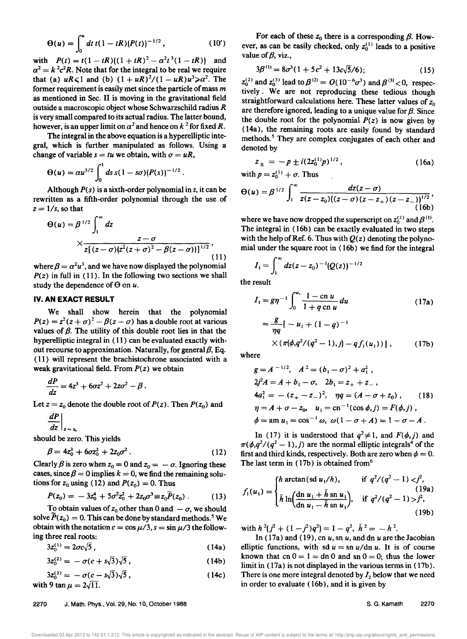$$
\Theta(u) = \int_0^u dt \ t(1 - tR) (P(t))^{-1/2}, \qquad (10')
$$

with  $P(t) = t(1 - tR)((1 + tR)^2 - \alpha^2 t^3(1 - tR))$  and  $\alpha^2 = k^2 c^2 R$ . Note that for the integral to be real we require that (a)  $uR \le 1$  and (b)  $(1 + uR)^2/(1 - uR)u^3 \ge \alpha^2$ . The former requirement is easily met since the particle of mass *m*  as mentioned in Sec. II is moving in the gravitational field outside a macroscopic object whose Schwarzschild radius *R*  is very small compared to its actual radius. The latter bound, however, is an upper limit on  $a^2$  and hence on  $k^2$  for fixed R.

The integral in the above equation is a hyperelliptic integral, which is further manipulated as follows. Using a change of variable  $s = tu$  we obtain, with  $\sigma = uR$ ,

$$
\Theta(u) = \alpha u^{3/2} \int_0^1 ds \, s (1 - s \sigma) (P(s))^{-1/2} \, .
$$

Although *P(s)* is a sixth-order polynomial in *s,* it can be rewritten as a fifth-order polynomial through the use of  $z = 1/s$ , so that

$$
\Theta(u) = \beta^{1/2} \int_1^{\infty} dz
$$
  
 
$$
\times \frac{z - \sigma}{z[(z - \sigma)(z^2(z + \sigma)^2 - \beta(z - \sigma))]^{1/2}},
$$
 (11)

where  $\beta = \alpha^2 u^3$ , and we have now displayed the polynomial  $P(z)$  in full in (11). In the following two sections we shall study the dependence of  $\Theta$  on  $\mu$ .

#### **IV. AN EXACT RESULT**

We shall show herein that the polynomial  $P(z) = z^2(z + \sigma)^2 - \beta(z - \sigma)$  has a double root at various values of  $\beta$ . The utility of this double root lies in that the hyperelliptic integral in (11) can be evaluated exactly without recourse to approximation. Naturally, for general  ${\beta}$ , Eq. ( 11) will represent the brachistochrone associated with a weak gravitational field. From *P(z)* we obtain

$$
\frac{dP}{dz}=4z^3+6\sigma z^2+2z\sigma^2-\beta.
$$

Let  $z = z_0$  denote the double root of  $P(z)$ . Then  $P(z_0)$  and

$$
\left. \frac{dP}{dz} \right|_{z=z}
$$

should be zero. This yields

$$
\beta = 4z_0^3 + 6\sigma z_0^2 + 2z_0\sigma^2. \tag{12}
$$

Clearly  $\beta$  is zero when  $z_0 = 0$  and  $z_0 = -\sigma$ . Ignoring these cases, since  $\beta = 0$  implies  $k = 0$ , we find the remaining solutions for  $z_0$  using (12) and  $P(z_0) = 0$ . Thus

$$
P(z_0) = -3z_0^4 + 5\sigma^2 z_0^2 + 2z_0\sigma^3 \equiv z_0 \widetilde{P}(z_0) \ . \tag{13}
$$

To obtain values of  $z_0$  other than 0 and  $-\sigma$ , we should solve  $P(z_0) = 0$ . This can be done by standard methods.<sup>5</sup> We obtain with the notation  $c = \cos \mu/3$ ,  $s = \sin \mu/3$  the following three real roots:

$$
3z_0^{(1)} = 2\sigma c \sqrt{5} \tag{14a}
$$

$$
3z_0^{(2)} = -\sigma(c + s\sqrt{3})\sqrt{5}, \qquad (14b)
$$

$$
3z_0^{(3)} = -\sigma(c - s\sqrt{3})\sqrt{5},
$$
  
with 9 tan  $\mu = 2\sqrt{11}$ . (14c)

For each of these  $z_0$  there is a corresponding  $\beta$ . However, as can be easily checked, only  $z_0^{(1)}$  leads to a positive value of  $\beta$ , viz.,

$$
3\beta^{(1)} = 8\sigma^3(1 + 5c^2 + 13c\sqrt{5}/6); \qquad (15)
$$

 $z_0^{(2)}$  and  $z_0^{(3)}$  lead to  $\beta^{(2)} = O(10^{-6}\sigma^3)$  and  $\beta^{(3)} < 0$ , respectively. We are not reproducing these tedious though straightforward calculations here. These latter values of  $z_0$ are therefore ignored, leading to a unique value for  $\beta$ . Since the double root for the polynomial  $P(z)$  is now given by ( 14a), the remaining roots are easily found by standard methods.<sup>5</sup> They are complex conjugates of each other and denoted by

$$
z_{\pm} = -p \pm i(2z_0^{(1)}p)^{1/2}, \qquad (16a)
$$

with  $p = z_0^{(1)} + \sigma$ . Thus

$$
\Theta(u) = \beta^{1/2} \int_1^{\infty} \frac{dz(z-\sigma)}{z(z-z_0)((z-\sigma)(z-z_+)(z-z_-))^{1/2}},
$$
\n(16b)

where we have now dropped the superscript on  $z_0^{(1)}$  and  $\beta^{(1)}$ . The integral in (16b) can be exactly evaluated in two steps with the help of Ref. 6. Thus with  $Q(z)$  denoting the polynomial under the square root in (16b) we find for the integral

$$
I_1 = \int_1^\infty dz (z - z_0)^{-1} (Q(z))^{-1/2}
$$

the result

$$
I_1 = g\eta^{-1} \int_0^{u_1} \frac{1 - \text{cn } u}{1 + q \text{ cn } u} du
$$
 (17a)  

$$
= \frac{g}{\eta q} [-u_1 + (1 - q)^{-1}
$$
  

$$
\times (\pi(\phi, q^2/(q^2 - 1), j) - q f_1(u_1))],
$$
 (17b)

where

$$
g = A^{-1/2}, \quad A^2 = (b_1 - \sigma)^2 + a_1^2,
$$
  
\n
$$
2f^2 A = A + b_1 - \sigma, \quad 2b_1 = z_+ + z_-,
$$
  
\n
$$
4a_1^2 = -(z_+ - z_-)^2, \quad \eta q = (A - \sigma + z_0), \quad (18)
$$
  
\n
$$
\eta = A + \sigma - z_0, \quad u_1 = \text{cn}^{-1}(\cos \phi, j) = F(\phi, j),
$$
  
\n
$$
\phi = \text{am } u_1 = \cos^{-1} \omega, \quad \omega(1 - \sigma + A) = 1 - \sigma - A.
$$

In (17) it is understood that  $q^2 \neq 1$ , and  $F(\phi, j)$  and  $\pi(\phi, q^2/(q^2-1), j)$  are the normal elliptic integrals<sup>4</sup> of the first and third kinds, respectively. Both are zero when  $\phi = 0$ . The last term in (17b) is obtained from<sup>6</sup>

$$
f_1(u_1) = \begin{cases} h \arctan(\text{sd } u_1/h), & \text{if } q^2/(q^2 - 1) < j^2, \\ \tilde{h} \ln\left(\frac{\text{dn } u_1 + \tilde{h} \text{sn } u_1}{\text{dn } u_1 - \tilde{h} \text{sn } u_1}\right), & \text{if } q^2/(q^2 - 1) > j^2, \\ 19b) \end{cases}
$$

with  $h^2(f^2 + (1 - j^2)q^2) = 1 - q^2$ ,  $\tilde{h}^2 = -h^2$ .

In (17a) and (19), cn *u,* sn *u,* and dn *U* are the Jacobian elliptic functions, with sd  $u = \text{sn } u/\text{dn } u$ . It is of course known that cn  $0 = 1 = dn \, 0$  and sn  $0 = 0$ ; thus the lower limit in (17a) is not displayed in the various terms in (17b). There is one more integral denoted by  $I_2$  below that we need in order to evaluate (16b), and it is given by

2270 J. Math. Phys., Vol. 29, No.1 0, October 1988

s. G. Kamath 2270

Downloaded 03 Apr 2013 to 142.51.1.212. This article is copyrighted as indicated in the abstract. Reuse of AIP content is subject to the terms at: http://jmp.aip.org/about/rights\_and\_permissions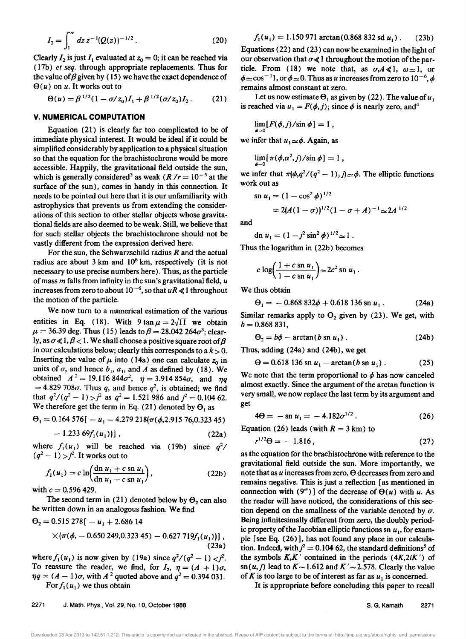$$
I_2 = \int_1^\infty dz \, z^{-1} (Q(z))^{-1/2} \,. \tag{20}
$$

Clearly  $I_2$  is just  $I_1$  evaluated at  $z_0 = 0$ ; it can be reached via ( 17b) *et seq.* through appropriate replacements. Thus for the value of  $\beta$  given by (15) we have the exact dependence of  $\Theta(u)$  on *u*. It works out to

$$
\Theta(u) = \beta^{1/2} (1 - \sigma/z_0) I_1 + \beta^{1/2} (\sigma/z_0) I_2.
$$
 (21)

#### V. **NUMERICAL COMPUTATION**

Equation (21) is clearly far too complicated to be of immediate physical interest. It would be ideal if it could be simplified considerably by application to a physical situation so that the equation for the brachistochrone would be more accessible. Happily, the gravitational field outside the sun, which is generally considered<sup>3</sup> as weak  $(R / r = 10^{-5}$  at the surface of the sun), comes in handy in this connection. It needs to be pointed out here that it is our unfamiliarity with astrophysics that prevents us from extending the considerations of this section to other stellar objects whose gravitational fields are also deemed to be weak. Still, we believe that for such stellar objects the brachistochrone should not be vastly different from the expression derived here.

For the sun, the Schwarzschild radius *R* and the actual radius are about  $3 \text{ km}$  and  $10^6 \text{ km}$ , respectively (it is not necessary to use precise numbers here). Thus, as the particle of mass *m* falls from infinity in the sun's gravitational field, *<sup>U</sup>* increases from zero to about  $10^{-6}$ , so that  $uR \ll 1$  throughout the motion of the particle.

We now turn to a numerical estimation of the various entities in Eq. (18). With  $9 \tan \mu = 2\sqrt{11}$  we obtain  $\mu = 36.39$  deg. Thus (15) leads to  $\beta = 28.042$  264 $\sigma^3$ ; clearly, as  $\sigma \ll 1, \beta < 1$ . We shall choose a positive square root of  $\beta$ in our calculations below; clearly this corresponds to a  $k > 0$ . Inserting the value of  $\mu$  into (14a) one can calculate  $z_0$  in units of  $\sigma$ , and hence  $b_1$ ,  $a_1$ , and  $A$  as defined by (18). We obtained  $A^2 = 19.116844\sigma^2$ ,  $\eta = 3.914854\sigma$ , and  $\eta q$  $= 4.829 708\sigma$ . Thus q, and hence  $q^2$ , is obtained; we find that  $q^2/(q^2-1) > j^2$  as  $q^2 = 1.521986$  and  $j^2 = 0.10462$ . We therefore get the term in Eq. (21) denoted by  $\Theta_1$  as

$$
\Theta_1 = 0.164\,576[ -u_1 - 4.279\,218(\pi(\phi, 2.915\,76, 0.323\,45)
$$

$$
-1.233\,69f_1(u_1))]
$$
 (22a)

where  $f_1(u_1)$  will be reached via (19b) since  $q^2/$  $(q^2 - 1)$  >  $j^2$ . It works out to

$$
f_1(u_1) = c \ln \left( \frac{\mathrm{dn} \ u_1 + c \ \mathrm{sn} \ u_1}{\mathrm{dn} \ u_1 - c \ \mathrm{sn} \ u_1} \right),\tag{22b}
$$

with  $c = 0.596 429$ .

The second term in (21) denoted below by  $\Theta_2$  can also be written down in an analogous fashion. We find

$$
\Theta_2 = 0.515\ 278[ -u_1 + 2.686\ 14
$$
  
×( $\pi$ ( $\phi$ , - 0.650 249, 0.323 45) - 0.627 719 $f_1$ ( $u_1$ ))], (23a)

where  $f_1(u_1)$  is now given by (19a) since  $q^2/(q^2-1) < j^2$ . To reassure the reader, we find, for  $I_2$ ,  $\eta = (A + 1)\sigma$ ,  $\eta q = (A - 1)\sigma$ , with  $A^2$  quoted above and  $q^2 = 0.394031$ . For  $f_1(u_1)$  we thus obtain

$$
f_1(u_1) = 1.150\,971\arctan(0.868\,832\,\mathrm{sd}\,u_1)\,. \qquad (23b)
$$

Equations (22) and (23) can now be examined in the light of our observation that  $\sigma \ll 1$  throughout the motion of the particle. From (18) we note that, as  $\sigma A \ll 1$ ,  $\omega \approx 1$ , or  $\approx$ cos<sup>-1</sup>1, or  $\phi \approx 0$ . Thus as *u* increases from zero to 10<sup>-6</sup>, remains almost constant at zero.

Let us now estimate  $\Theta_1$  as given by (22). The value of  $u_1$ is reached via  $u_1 = F(\phi, j)$ ; since  $\phi$  is nearly zero, and<sup>4</sup>

$$
\lim_{\phi \to 0} [F(\phi, j)/\sin \phi] = 1,
$$

we infer that  $u_1 \approx \phi$ . Again, as

$$
\lim_{\phi \to 0} [\pi(\phi, \alpha^2, j) / \sin \phi] = 1,
$$

we infer that  $\pi(\phi, q^2/(q^2-1), j) \approx \phi$ . The elliptic functions work out as

$$
\mathrm{sn}\ u_1 = (1 - \cos^2 \phi)^{1/2}
$$

$$
=2(A(1-\sigma))^{1/2}(1-\sigma+A)^{-1}\!\simeq\!2A^{1/2}
$$

and

$$
\mathrm{dn}\ u_1=(1-j^2\sin^2\phi)^{1/2}\!\simeq 1\ .
$$

Thus the logarithm in (22b) becomes

$$
c \log \left( \frac{1+c \sin u_1}{1-c \sin u_1} \right) \simeq 2c^2 \sin u_1.
$$

We thus obtain

$$
\Theta_1 = -0.868\,832\phi + 0.618\,136\,\mathrm{sn}\,u_1\,. \tag{24a}
$$

Similar remarks apply to  $\Theta_2$  given by (23). We get, with  $b = 0.868831,$ 

$$
\Theta_2 = b\phi - \arctan(b \text{ sn } u_1) \tag{24b}
$$

Thus, adding (24a) and (24b), we get

$$
\Theta = 0.618\,136\,\mathrm{sn}\,u_1 - \arctan(b\,\mathrm{sn}\,u_1)\,. \tag{25}
$$

We note that the term proportional to  $\phi$  has now canceled almost exactly. Since the argument of the arctan function is very small, we now replace the last term by its argument and get

$$
4\Theta = -\operatorname{sn} u_1 = -4.182\sigma^{1/2} \,. \tag{26}
$$

Equation (26) leads (with  $R = 3 \text{ km}$ ) to

$$
r^{1/2}\Theta = -1.816\,,\tag{27}
$$

as the equation for the brachistochrone with reference to the gravitational field outside the sun. More importantly, we note that as *u* increases from zero,  $\Theta$  decreases from zero and remains negative. This is just a reflection [as mentioned in connection with  $(9<sup>m</sup>)$  of the decrease of  $\Theta(u)$  with *u*. As the reader will have noticed, the considerations of this section depend on the smallness of the variable denoted by  $\sigma$ . Being infinitesimally different from zero, the doubly periodic property of the Jacobian elliptic functions sn  $u_1$ , for example [see Eq. (26)], has not found any place in our calculation. Indeed, with  $j^2 = 0.104$  62, the standard definitions<sup>5</sup> of the symbols *K,K'* contained in the periods *(4K,2iK')* of  $\text{sn}(u, j)$  lead to  $K \sim 1.612$  and  $K' \sim 2.578$ . Clearly the value of  $K$  is too large to be of interest as far as  $u_1$  is concerned.

It is appropriate before concluding this paper to recall